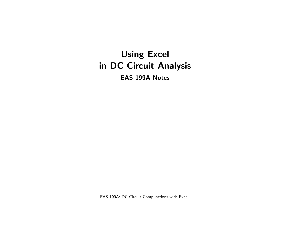# Using Excel in DC Circuit Analysis

EAS 199A Notes

EAS 199A: DC Circuit Computations with Excel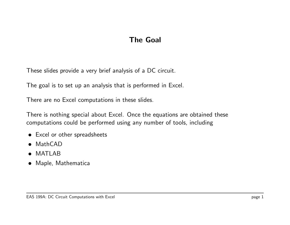## The Goal

These slides provide a very brief analysis of a DC circuit.

The goal is to set up an analysis that is performed in Excel.

There are no Excel computations in these slides.

There is nothing special about Excel. Once the equations are obtained these computations could be performed using any number of tools, including

- Excel or other spreadsheets
- MathCAD
- MATLAB
- Maple, Mathematica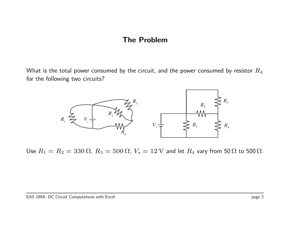## The Problem

What is the total power consumed by the circuit, and the power consumed by resistor  $R_4$ for the following two circuits?



Use  $R_1 = R_2 = 330 \Omega$ ,  $R_3 = 500 \Omega$ ,  $V_s = 12 V$  and let  $R_4$  vary from 50  $\Omega$  to 500  $\Omega$ .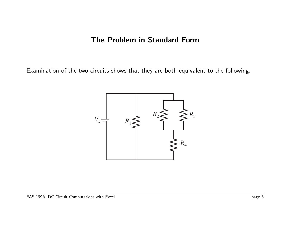## The Problem in Standard Form

Examination of the two circuits shows that they are both equivalent to the following.

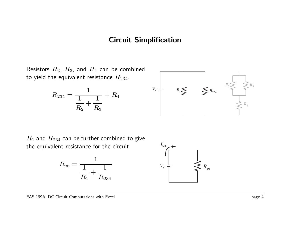## Circuit Simplification

Resistors  $R_2$ ,  $R_3$ , and  $R_4$  can be combined to yield the equivalent resistance  $R_{234}$ .

$$
R_{234} = \frac{1}{\frac{1}{R_2} + \frac{1}{R_3}} + R_4
$$



 $R_1$  and  $R_{234}$  can be further combined to give the equivalent resistance for the circuit



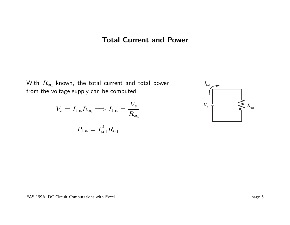## Total Current and Power

With  $R_{\text{eq}}$  known, the total current and total power from the voltage supply can be computed

$$
V_s = I_{\text{tot}} R_{\text{eq}} \Longrightarrow I_{\text{tot}} = \frac{V_s}{R_{\text{eq}}}
$$

$$
P_{\text{tot}} = I_{\text{tot}}^2 R_{\text{eq}}
$$